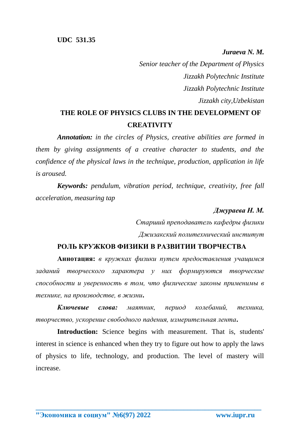*Juraeva N. M. Senior teacher of the Department of Physics Jizzakh Polytechnic Institute Jizzakh Polytechnic Institute Jizzakh city,Uzbekistan*

# **THE ROLE OF PHYSICS CLUBS IN THE DEVELOPMENT OF CREATIVITY**

*Annotation: in the circles of Physics, creative abilities are formed in them by giving assignments of a creative character to students, and the confidence of the physical laws in the technique, production, application in life is aroused.*

*Keywords: pendulum, vibration period, technique, creativity, free fall acceleration, measuring tap*

### *Джураева Н. М.*

*Старший преподаватель кафедры физики Джизакский политехнический институт*

## **РОЛЬ КРУЖКОВ ФИЗИКИ В РАЗВИТИИ ТВОРЧЕСТВА**

**Аннотация:** *в кружках физики путем предоставления учащимся заданий творческого характера у них формируются творческие способности и уверенность в том, что физические законы применимы в технике, на производстве, в жизни***.**

*Ключевые слова: маятник, период колебаний, техника, творчество, ускорение свободного падения, измерительная лента***.**

**Introduction:** Science begins with measurement. That is, students' interest in science is enhanced when they try to figure out how to apply the laws of physics to life, technology, and production. The level of mastery will increase.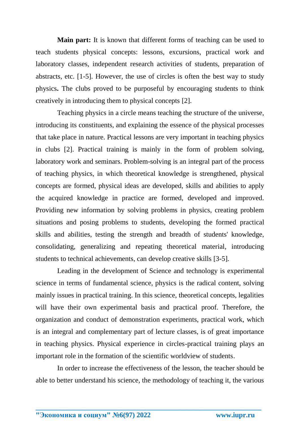**Main part:** It is known that different forms of teaching can be used to teach students physical concepts: lessons, excursions, practical work and laboratory classes, independent research activities of students, preparation of abstracts, etc. [1-5]. However, the use of circles is often the best way to study physics**.** The clubs proved to be purposeful by encouraging students to think creatively in introducing them to physical concepts [2].

Teaching physics in a circle means teaching the structure of the universe, introducing its constituents, and explaining the essence of the physical processes that take place in nature. Practical lessons are very important in teaching physics in clubs [2]. Practical training is mainly in the form of problem solving, laboratory work and seminars. Problem-solving is an integral part of the process of teaching physics, in which theoretical knowledge is strengthened, physical concepts are formed, physical ideas are developed, skills and abilities to apply the acquired knowledge in practice are formed, developed and improved. Providing new information by solving problems in physics, creating problem situations and posing problems to students, developing the formed practical skills and abilities, testing the strength and breadth of students' knowledge, consolidating, generalizing and repeating theoretical material, introducing students to technical achievements, can develop creative skills [3-5].

Leading in the development of Science and technology is experimental science in terms of fundamental science, physics is the radical content, solving mainly issues in practical training. In this science, theoretical concepts, legalities will have their own experimental basis and practical proof. Therefore, the organization and conduct of demonstration experiments, practical work, which is an integral and complementary part of lecture classes, is of great importance in teaching physics. Physical experience in circles-practical training plays an important role in the formation of the scientific worldview of students.

In order to increase the effectiveness of the lesson, the teacher should be able to better understand his science, the methodology of teaching it, the various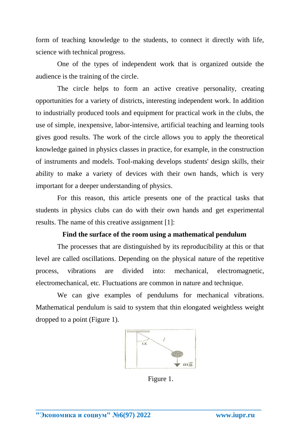form of teaching knowledge to the students, to connect it directly with life, science with technical progress.

One of the types of independent work that is organized outside the audience is the training of the circle.

The circle helps to form an active creative personality, creating opportunities for a variety of districts, interesting independent work. In addition to industrially produced tools and equipment for practical work in the clubs, the use of simple, inexpensive, labor-intensive, artificial teaching and learning tools gives good results. The work of the circle allows you to apply the theoretical knowledge gained in physics classes in practice, for example, in the construction of instruments and models. Tool-making develops students' design skills, their ability to make a variety of devices with their own hands, which is very important for a deeper understanding of physics.

For this reason, this article presents one of the practical tasks that students in physics clubs can do with their own hands and get experimental results. The name of this creative assignment [1]:

#### **Find the surface of the room using a mathematical pendulum**

The processes that are distinguished by its reproducibility at this or that level are called oscillations. Depending on the physical nature of the repetitive process, vibrations are divided into: mechanical, electromagnetic, electromechanical, etc. Fluctuations are common in nature and technique.

We can give examples of pendulums for mechanical vibrations. Mathematical pendulum is said to system that thin elongated weightless weight dropped to a point (Figure 1).



Figure 1.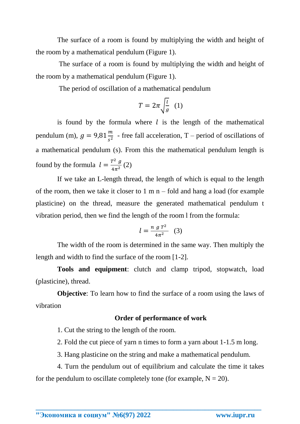The surface of a room is found by multiplying the width and height of the room by a mathematical pendulum (Figure 1).

The surface of a room is found by multiplying the width and height of the room by a mathematical pendulum (Figure 1).

The period of oscillation of a mathematical pendulum

$$
T = 2\pi \sqrt{\frac{l}{g}} \quad (1)
$$

is found by the formula where  $l$  is the length of the mathematical pendulum (m),  $g = 9.81 \frac{m}{s^2}$  - free fall acceleration, T – period of oscillations of a mathematical pendulum (s). From this the mathematical pendulum length is found by the formula  $l = \frac{T^2 g}{4\pi r^2}$  $\frac{y}{4\pi^2}(2)$ 

If we take an L-length thread, the length of which is equal to the length of the room, then we take it closer to  $1 \text{ m n}$  – fold and hang a load (for example plasticine) on the thread, measure the generated mathematical pendulum t vibration period, then we find the length of the room l from the formula:

$$
l = \frac{n g T^2}{4\pi^2} \quad (3)
$$

The width of the room is determined in the same way. Then multiply the length and width to find the surface of the room [1-2].

**Tools and equipment**: clutch and clamp tripod, stopwatch, load (plasticine), thread.

**Objective:** To learn how to find the surface of a room using the laws of vibration

## **Order of performance of work**

1. Cut the string to the length of the room.

2. Fold the cut piece of yarn n times to form a yarn about 1-1.5 m long.

3. Hang plasticine on the string and make a mathematical pendulum.

4. Turn the pendulum out of equilibrium and calculate the time it takes for the pendulum to oscillate completely tone (for example,  $N = 20$ ).